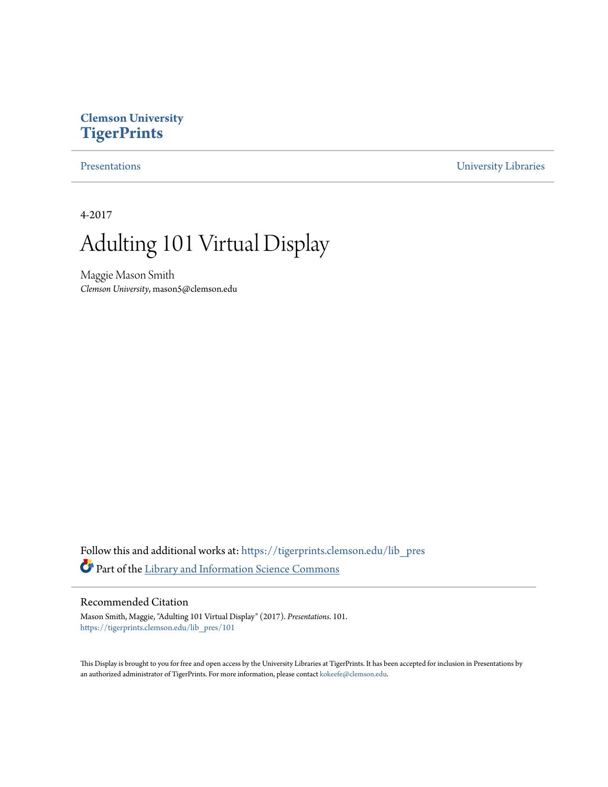#### **Clemson University [TigerPrints](https://tigerprints.clemson.edu?utm_source=tigerprints.clemson.edu%2Flib_pres%2F101&utm_medium=PDF&utm_campaign=PDFCoverPages)**

[Presentations](https://tigerprints.clemson.edu/lib_pres?utm_source=tigerprints.clemson.edu%2Flib_pres%2F101&utm_medium=PDF&utm_campaign=PDFCoverPages) [University Libraries](https://tigerprints.clemson.edu/libraries?utm_source=tigerprints.clemson.edu%2Flib_pres%2F101&utm_medium=PDF&utm_campaign=PDFCoverPages)

4-2017

#### Adulting 101 Virtual Display

Maggie Mason Smith *Clemson University*, mason5@clemson.edu

Follow this and additional works at: [https://tigerprints.clemson.edu/lib\\_pres](https://tigerprints.clemson.edu/lib_pres?utm_source=tigerprints.clemson.edu%2Flib_pres%2F101&utm_medium=PDF&utm_campaign=PDFCoverPages) Part of the [Library and Information Science Commons](http://network.bepress.com/hgg/discipline/1018?utm_source=tigerprints.clemson.edu%2Flib_pres%2F101&utm_medium=PDF&utm_campaign=PDFCoverPages)

#### Recommended Citation

Mason Smith, Maggie, "Adulting 101 Virtual Display" (2017). *Presentations*. 101. [https://tigerprints.clemson.edu/lib\\_pres/101](https://tigerprints.clemson.edu/lib_pres/101?utm_source=tigerprints.clemson.edu%2Flib_pres%2F101&utm_medium=PDF&utm_campaign=PDFCoverPages)

This Display is brought to you for free and open access by the University Libraries at TigerPrints. It has been accepted for inclusion in Presentations by an authorized administrator of TigerPrints. For more information, please contact [kokeefe@clemson.edu.](mailto:kokeefe@clemson.edu)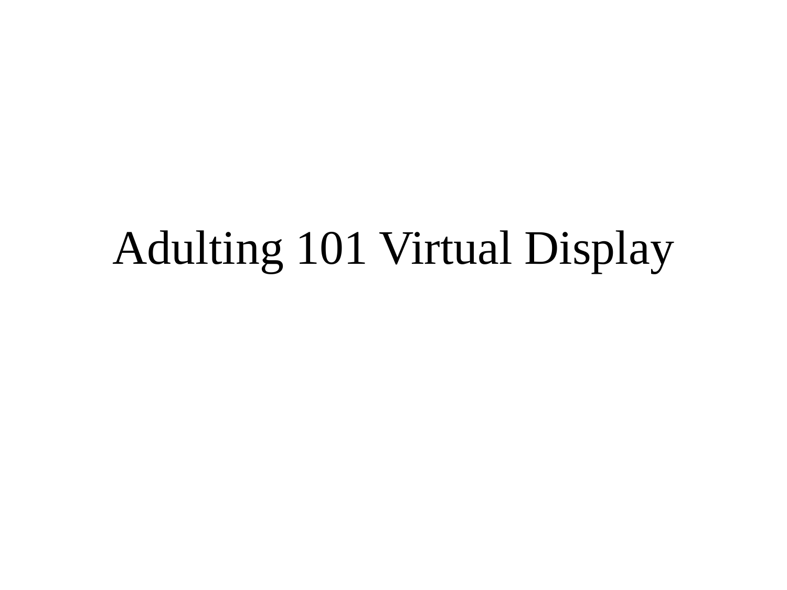### Adulting 101 Virtual Display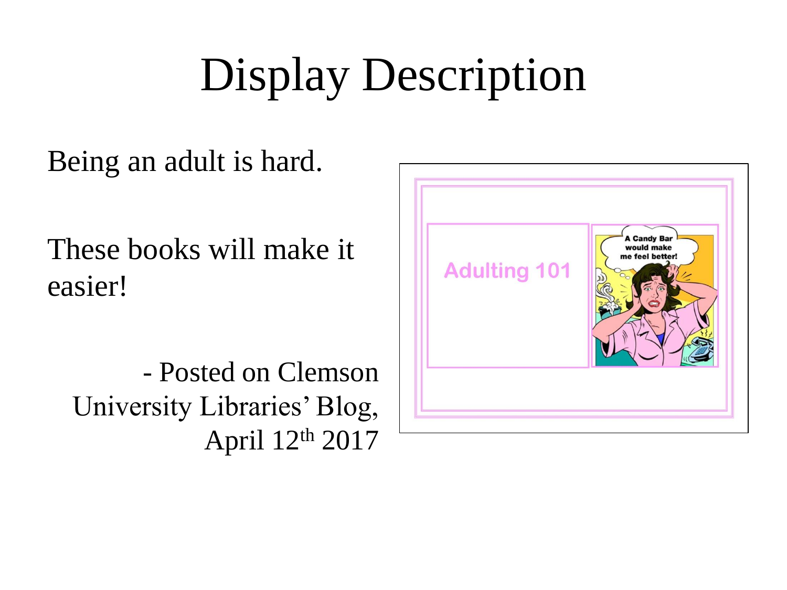# Display Description

Being an adult is hard.

These books will make it easier!

- Posted on Clemson University Libraries' Blog, April 12th 2017

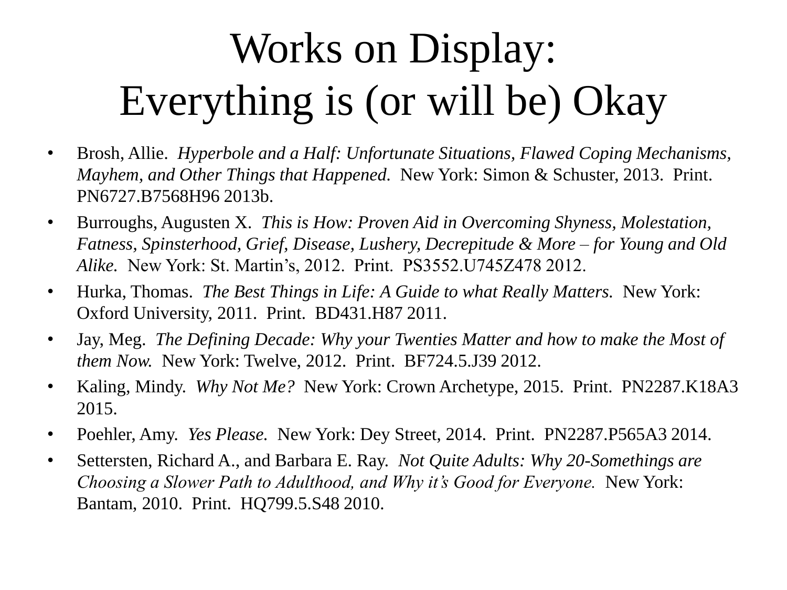## Works on Display: Everything is (or will be) Okay

- Brosh, Allie. *Hyperbole and a Half: Unfortunate Situations, Flawed Coping Mechanisms, Mayhem, and Other Things that Happened.* New York: Simon & Schuster, 2013. Print. PN6727.B7568H96 2013b.
- Burroughs, Augusten X. *This is How: Proven Aid in Overcoming Shyness, Molestation, Fatness, Spinsterhood, Grief, Disease, Lushery, Decrepitude & More – for Young and Old Alike.* New York: St. Martin's, 2012. Print. PS3552.U745Z478 2012.
- Hurka, Thomas. *The Best Things in Life: A Guide to what Really Matters.* New York: Oxford University, 2011. Print. BD431.H87 2011.
- Jay, Meg. *The Defining Decade: Why your Twenties Matter and how to make the Most of them Now.* New York: Twelve, 2012. Print. BF724.5.J39 2012.
- Kaling, Mindy. *Why Not Me?* New York: Crown Archetype, 2015. Print. PN2287.K18A3 2015.
- Poehler, Amy. *Yes Please.* New York: Dey Street, 2014. Print. PN2287.P565A3 2014.
- Settersten, Richard A., and Barbara E. Ray. *Not Quite Adults: Why 20-Somethings are Choosing a Slower Path to Adulthood, and Why it's Good for Everyone.* New York: Bantam, 2010. Print. HQ799.5.S48 2010.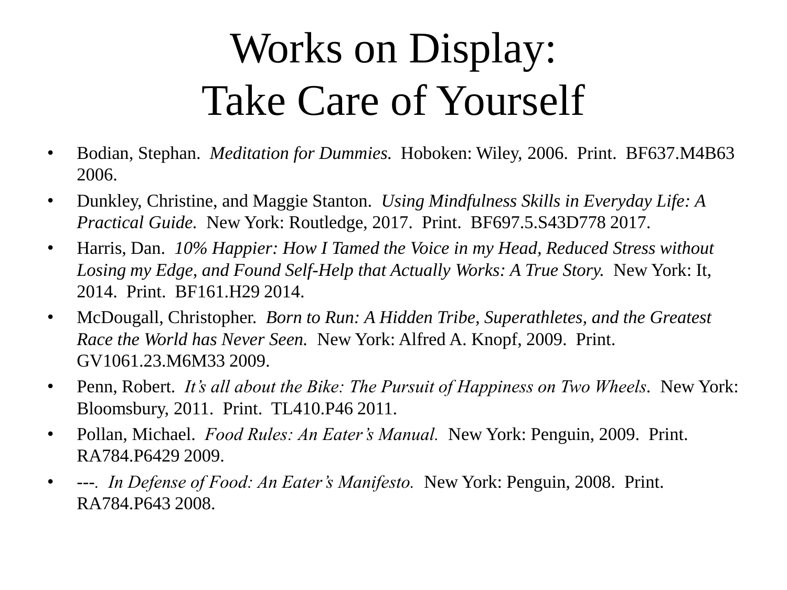## Works on Display: Take Care of Yourself

- Bodian, Stephan. *Meditation for Dummies.* Hoboken: Wiley, 2006. Print. BF637.M4B63 2006.
- Dunkley, Christine, and Maggie Stanton. *Using Mindfulness Skills in Everyday Life: A Practical Guide.* New York: Routledge, 2017. Print. BF697.5.S43D778 2017.
- Harris, Dan. *10% Happier: How I Tamed the Voice in my Head, Reduced Stress without Losing my Edge, and Found Self-Help that Actually Works: A True Story.* New York: It, 2014. Print. BF161.H29 2014.
- McDougall, Christopher. *Born to Run: A Hidden Tribe, Superathletes, and the Greatest Race the World has Never Seen.* New York: Alfred A. Knopf, 2009. Print. GV1061.23.M6M33 2009.
- Penn, Robert. *It's all about the Bike: The Pursuit of Happiness on Two Wheels.* New York: Bloomsbury, 2011. Print. TL410.P46 2011.
- Pollan, Michael. *Food Rules: An Eater's Manual.* New York: Penguin, 2009. Print. RA784.P6429 2009.
- *---. In Defense of Food: An Eater's Manifesto.* New York: Penguin, 2008. Print. RA784.P643 2008.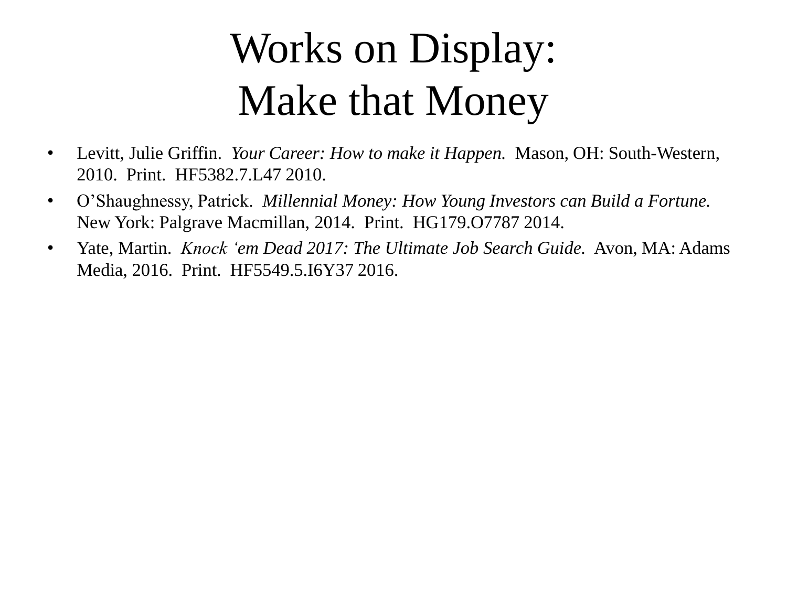## Works on Display: Make that Money

- Levitt, Julie Griffin. *Your Career: How to make it Happen.* Mason, OH: South-Western, 2010. Print. HF5382.7.L47 2010.
- O'Shaughnessy, Patrick. *Millennial Money: How Young Investors can Build a Fortune.* New York: Palgrave Macmillan, 2014. Print. HG179.O7787 2014.
- Yate, Martin. *Knock 'em Dead 2017: The Ultimate Job Search Guide.* Avon, MA: Adams Media, 2016. Print. HF5549.5.I6Y37 2016.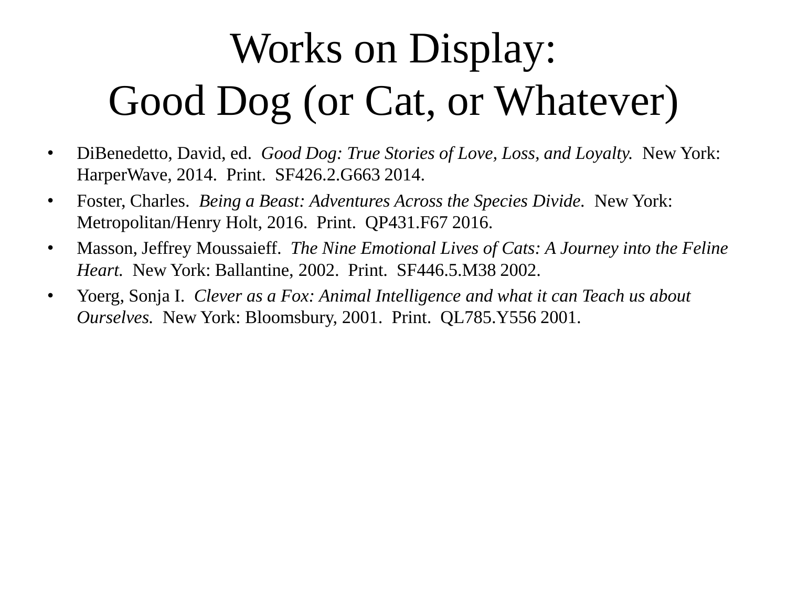## Works on Display: Good Dog (or Cat, or Whatever)

- DiBenedetto, David, ed. *Good Dog: True Stories of Love, Loss, and Loyalty.* New York: HarperWave, 2014. Print. SF426.2.G663 2014.
- Foster, Charles. *Being a Beast: Adventures Across the Species Divide.* New York: Metropolitan/Henry Holt, 2016. Print. QP431.F67 2016.
- Masson, Jeffrey Moussaieff. *The Nine Emotional Lives of Cats: A Journey into the Feline Heart.* New York: Ballantine, 2002. Print. SF446.5.M38 2002.
- Yoerg, Sonja I. *Clever as a Fox: Animal Intelligence and what it can Teach us about Ourselves.* New York: Bloomsbury, 2001. Print. QL785.Y556 2001.